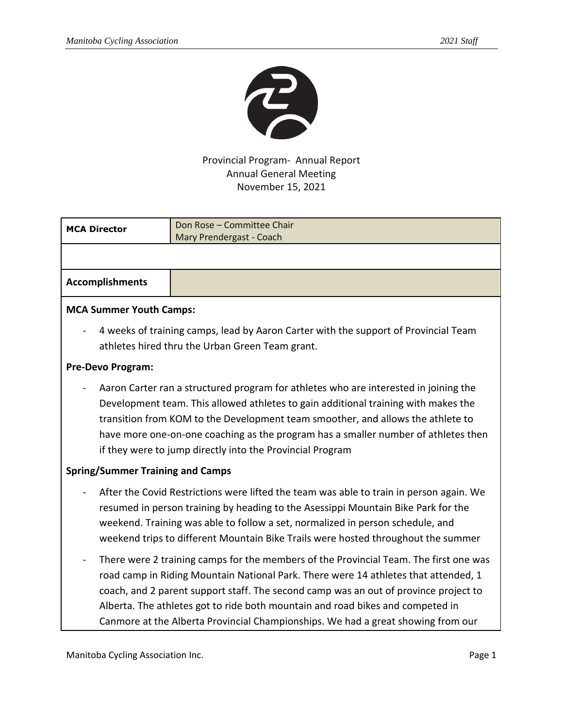

## Provincial Program- Annual Report Annual General Meeting November 15, 2021

| <b>MCA Director</b>                                                                                                                                                                                                                                                                                                                                                                                              | Don Rose - Committee Chair<br>Mary Prendergast - Coach                                                                                                                                                                                                                                                                                                                                                                                     |  |
|------------------------------------------------------------------------------------------------------------------------------------------------------------------------------------------------------------------------------------------------------------------------------------------------------------------------------------------------------------------------------------------------------------------|--------------------------------------------------------------------------------------------------------------------------------------------------------------------------------------------------------------------------------------------------------------------------------------------------------------------------------------------------------------------------------------------------------------------------------------------|--|
|                                                                                                                                                                                                                                                                                                                                                                                                                  |                                                                                                                                                                                                                                                                                                                                                                                                                                            |  |
| <b>Accomplishments</b>                                                                                                                                                                                                                                                                                                                                                                                           |                                                                                                                                                                                                                                                                                                                                                                                                                                            |  |
| <b>MCA Summer Youth Camps:</b>                                                                                                                                                                                                                                                                                                                                                                                   |                                                                                                                                                                                                                                                                                                                                                                                                                                            |  |
| 4 weeks of training camps, lead by Aaron Carter with the support of Provincial Team<br>athletes hired thru the Urban Green Team grant.                                                                                                                                                                                                                                                                           |                                                                                                                                                                                                                                                                                                                                                                                                                                            |  |
| Pre-Devo Program:                                                                                                                                                                                                                                                                                                                                                                                                |                                                                                                                                                                                                                                                                                                                                                                                                                                            |  |
| Aaron Carter ran a structured program for athletes who are interested in joining the<br>Development team. This allowed athletes to gain additional training with makes the<br>transition from KOM to the Development team smoother, and allows the athlete to<br>have more one-on-one coaching as the program has a smaller number of athletes then<br>if they were to jump directly into the Provincial Program |                                                                                                                                                                                                                                                                                                                                                                                                                                            |  |
| <b>Spring/Summer Training and Camps</b>                                                                                                                                                                                                                                                                                                                                                                          |                                                                                                                                                                                                                                                                                                                                                                                                                                            |  |
| After the Covid Restrictions were lifted the team was able to train in person again. We<br>resumed in person training by heading to the Asessippi Mountain Bike Park for the<br>weekend. Training was able to follow a set, normalized in person schedule, and<br>weekend trips to different Mountain Bike Trails were hosted throughout the summer                                                              |                                                                                                                                                                                                                                                                                                                                                                                                                                            |  |
|                                                                                                                                                                                                                                                                                                                                                                                                                  | There were 2 training camps for the members of the Provincial Team. The first one was<br>road camp in Riding Mountain National Park. There were 14 athletes that attended, 1<br>coach, and 2 parent support staff. The second camp was an out of province project to<br>Alberta. The athletes got to ride both mountain and road bikes and competed in<br>Canmore at the Alberta Provincial Championships. We had a great showing from our |  |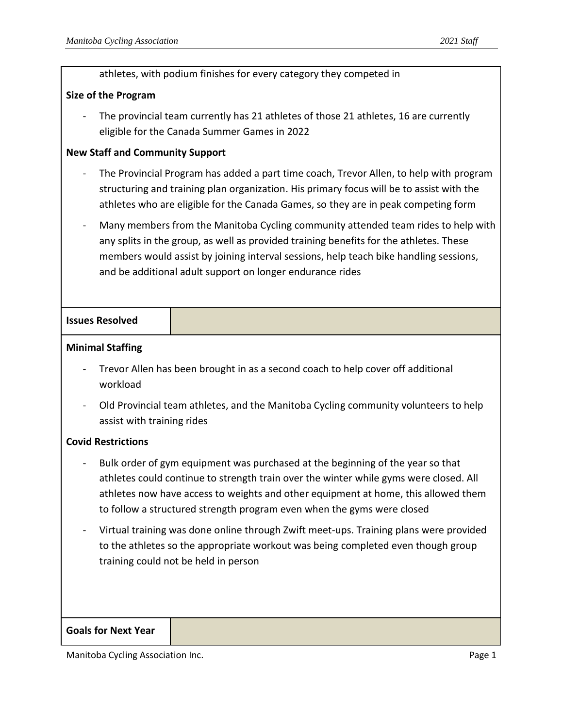|                                                                                                                                                                                                                                                                                                                                         | athletes, with podium finishes for every category they competed in                                                                                                                                                                                                       |  |
|-----------------------------------------------------------------------------------------------------------------------------------------------------------------------------------------------------------------------------------------------------------------------------------------------------------------------------------------|--------------------------------------------------------------------------------------------------------------------------------------------------------------------------------------------------------------------------------------------------------------------------|--|
| <b>Size of the Program</b>                                                                                                                                                                                                                                                                                                              |                                                                                                                                                                                                                                                                          |  |
| The provincial team currently has 21 athletes of those 21 athletes, 16 are currently<br>eligible for the Canada Summer Games in 2022                                                                                                                                                                                                    |                                                                                                                                                                                                                                                                          |  |
| <b>New Staff and Community Support</b>                                                                                                                                                                                                                                                                                                  |                                                                                                                                                                                                                                                                          |  |
|                                                                                                                                                                                                                                                                                                                                         | The Provincial Program has added a part time coach, Trevor Allen, to help with program<br>structuring and training plan organization. His primary focus will be to assist with the<br>athletes who are eligible for the Canada Games, so they are in peak competing form |  |
| Many members from the Manitoba Cycling community attended team rides to help with<br>any splits in the group, as well as provided training benefits for the athletes. These<br>members would assist by joining interval sessions, help teach bike handling sessions,<br>and be additional adult support on longer endurance rides       |                                                                                                                                                                                                                                                                          |  |
| <b>Issues Resolved</b>                                                                                                                                                                                                                                                                                                                  |                                                                                                                                                                                                                                                                          |  |
| <b>Minimal Staffing</b>                                                                                                                                                                                                                                                                                                                 |                                                                                                                                                                                                                                                                          |  |
| Trevor Allen has been brought in as a second coach to help cover off additional<br>workload                                                                                                                                                                                                                                             |                                                                                                                                                                                                                                                                          |  |
| Old Provincial team athletes, and the Manitoba Cycling community volunteers to help<br>assist with training rides                                                                                                                                                                                                                       |                                                                                                                                                                                                                                                                          |  |
| <b>Covid Restrictions</b>                                                                                                                                                                                                                                                                                                               |                                                                                                                                                                                                                                                                          |  |
| Bulk order of gym equipment was purchased at the beginning of the year so that<br>athletes could continue to strength train over the winter while gyms were closed. All<br>athletes now have access to weights and other equipment at home, this allowed them<br>to follow a structured strength program even when the gyms were closed |                                                                                                                                                                                                                                                                          |  |
| Virtual training was done online through Zwift meet-ups. Training plans were provided<br>to the athletes so the appropriate workout was being completed even though group<br>training could not be held in person                                                                                                                       |                                                                                                                                                                                                                                                                          |  |
| <b>Goals for Next Year</b>                                                                                                                                                                                                                                                                                                              |                                                                                                                                                                                                                                                                          |  |

Manitoba Cycling Association Inc. **Page 1** Association Inc.